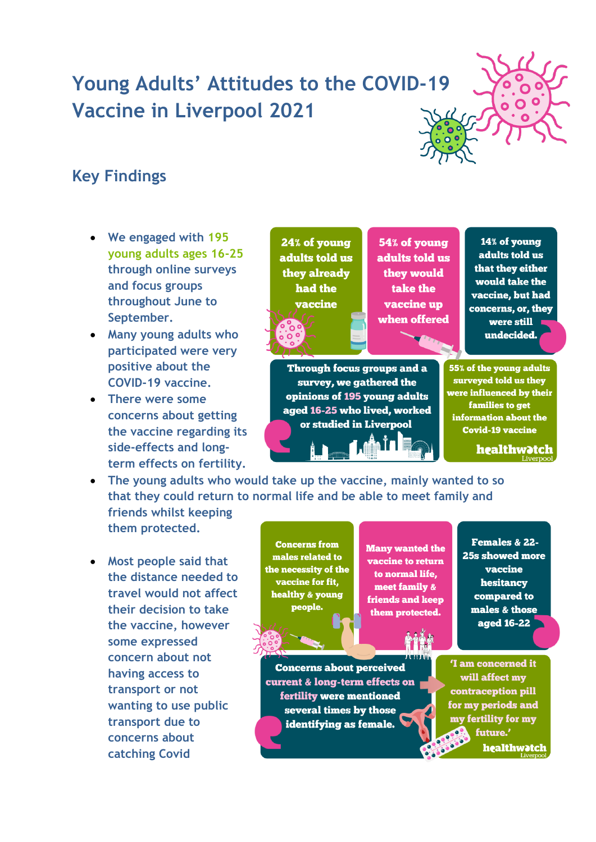## **Young Adults' Attitudes to the COVID-19 Vaccine in Liverpool 2021**



## **Key Findings**

- **We engaged with 195 young adults ages 16-25 through online surveys and focus groups throughout June to September.**
- **Many young adults who participated were very positive about the COVID-19 vaccine.**
- **There were some concerns about getting the vaccine regarding its side-effects and longterm effects on fertility.**

24% of voung adults told us they already had the vaccine

54% of voung adults told us they would take the vaccine up when offered

14% of voung adults told us that they either would take the vaccine. but had concerns, or, they were still undecided.

**Through focus groups and a** survey, we gathered the opinions of 195 young adults aged 16-25 who lived, worked or studied in Liverpool

55% of the voung adults surveyed told us they were influenced by their families to get information about the **Covid-19 vaccine** 

healthwotch

• **The young adults who would take up the vaccine, mainly wanted to so that they could return to normal life and be able to meet family and** 

**friends whilst keeping them protected.**

• **Most people said that the distance needed to travel would not affect their decision to take the vaccine, however some expressed concern about not having access to transport or not wanting to use public transport due to concerns about catching Covid**

**Concerns from** males related to the necessity of the vaccine for fit, healthy & young people.

**Many wanted the** vaccine to return to normal life, meet family & friends and keep them protected.

**Concerns about perceived** current & long-term effects on fertility were mentioned several times by those identifying as female.

Females & 22-25s showed more vaccine hesitancy compared to males & those aged 16-22

**I** am concerned it will affect my **contraception pill** for my periods and my fertility for my future.' healthwatch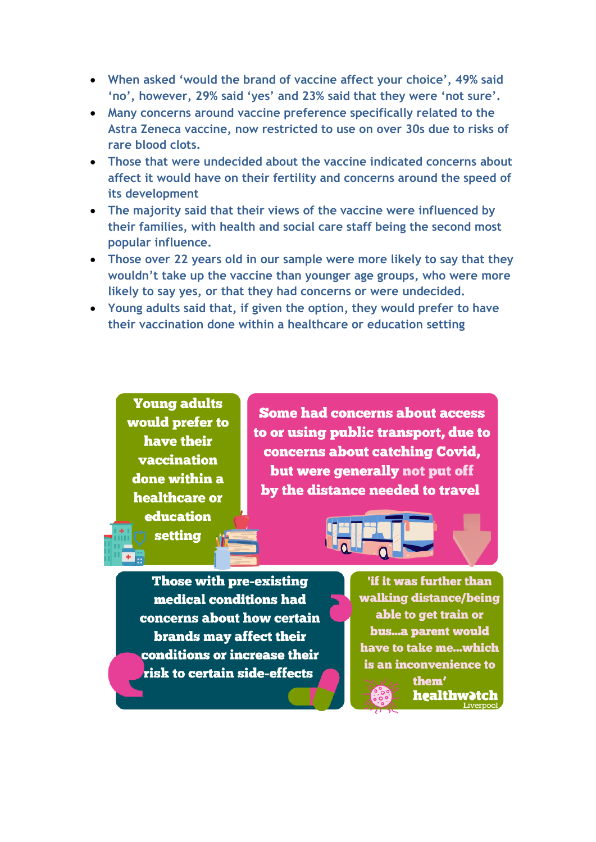- **When asked 'would the brand of vaccine affect your choice', 49% said 'no', however, 29% said 'yes' and 23% said that they were 'not sure'.**
- **Many concerns around vaccine preference specifically related to the Astra Zeneca vaccine, now restricted to use on over 30s due to risks of rare blood clots.**
- **Those that were undecided about the vaccine indicated concerns about affect it would have on their fertility and concerns around the speed of its development**
- **The majority said that their views of the vaccine were influenced by their families, with health and social care staff being the second most popular influence.**
- **Those over 22 years old in our sample were more likely to say that they wouldn't take up the vaccine than younger age groups, who were more likely to say yes, or that they had concerns or were undecided.**
- **Young adults said that, if given the option, they would prefer to have their vaccination done within a healthcare or education setting**

**Young adults** would prefer to have their vaccination done within a healthcare or **education** setting

**Some had concerns about access** to or using public transport, due to concerns about catching Covid, but were generally not put off by the distance needed to travel

Those with pre-existing medical conditions had concerns about how certain brands may affect their conditions or increase their risk to certain side-effects

'if it was further than walking distance/being able to get train or bus...a parent would have to take me...which is an inconvenience to them' healthw<mark>et</mark>ch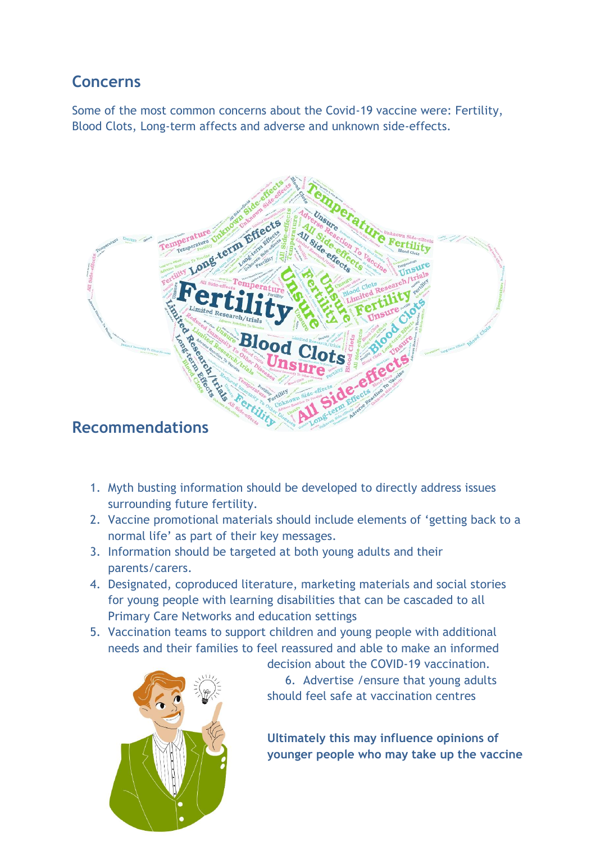## **Concerns**

Some of the most common concerns about the Covid-19 vaccine were: Fertility, Blood Clots, Long-term affects and adverse and unknown side-effects.



- 1. Myth busting information should be developed to directly address issues surrounding future fertility.
- 2. Vaccine promotional materials should include elements of 'getting back to a normal life' as part of their key messages.
- 3. Information should be targeted at both young adults and their parents/carers.
- 4. Designated, coproduced literature, marketing materials and social stories for young people with learning disabilities that can be cascaded to all Primary Care Networks and education settings
- 5. Vaccination teams to support children and young people with additional needs and their families to feel reassured and able to make an informed



decision about the COVID-19 vaccination. 6. Advertise /ensure that young adults should feel safe at vaccination centres

**Ultimately this may influence opinions of younger people who may take up the vaccine**